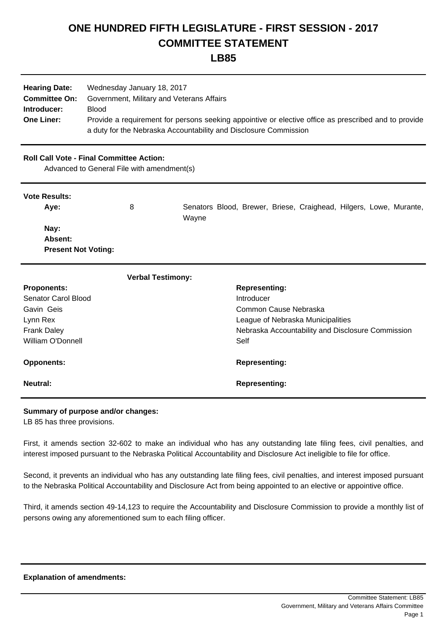# **ONE HUNDRED FIFTH LEGISLATURE - FIRST SESSION - 2017 COMMITTEE STATEMENT**

## **LB85**

| <b>Hearing Date:</b> | Wednesday January 18, 2017                                                                           |
|----------------------|------------------------------------------------------------------------------------------------------|
| <b>Committee On:</b> | Government, Military and Veterans Affairs                                                            |
| Introducer:          | <b>Blood</b>                                                                                         |
| <b>One Liner:</b>    | Provide a requirement for persons seeking appointive or elective office as prescribed and to provide |
|                      | a duty for the Nebraska Accountability and Disclosure Commission                                     |

### **Roll Call Vote - Final Committee Action:**

Advanced to General File with amendment(s)

### **Vote Results:**

| Ave:                       | 8 | Senators Blood, Brewer, Briese, Craighead, Hilgers, Lowe, Murante, |
|----------------------------|---|--------------------------------------------------------------------|
|                            |   | Wavne                                                              |
| Nay:                       |   |                                                                    |
| Absent:                    |   |                                                                    |
| <b>Present Not Voting:</b> |   |                                                                    |

| <b>Verbal Testimony:</b> |                                                   |
|--------------------------|---------------------------------------------------|
| <b>Proponents:</b>       | <b>Representing:</b>                              |
| Senator Carol Blood      | Introducer                                        |
| Gavin Geis               | Common Cause Nebraska                             |
| Lynn Rex                 | League of Nebraska Municipalities                 |
| <b>Frank Daley</b>       | Nebraska Accountability and Disclosure Commission |
| William O'Donnell        | Self                                              |
| <b>Opponents:</b>        | <b>Representing:</b>                              |
| Neutral:                 | <b>Representing:</b>                              |

#### **Summary of purpose and/or changes:**

LB 85 has three provisions.

First, it amends section 32-602 to make an individual who has any outstanding late filing fees, civil penalties, and interest imposed pursuant to the Nebraska Political Accountability and Disclosure Act ineligible to file for office.

Second, it prevents an individual who has any outstanding late filing fees, civil penalties, and interest imposed pursuant to the Nebraska Political Accountability and Disclosure Act from being appointed to an elective or appointive office.

Third, it amends section 49-14,123 to require the Accountability and Disclosure Commission to provide a monthly list of persons owing any aforementioned sum to each filing officer.

#### **Explanation of amendments:**